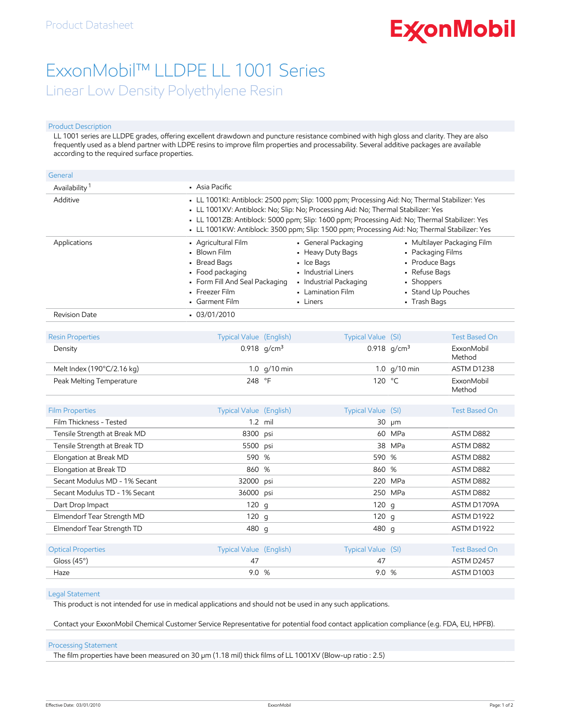# **ExconMobil**

## ExxonMobil™ LLDPE LL 1001 Series Linear Low Density Polyethylene Resin

#### Product Description

LL 1001 series are LLDPE grades, offering excellent drawdown and puncture resistance combined with high gloss and clarity. They are also frequently used as a blend partner with LDPE resins to improve film properties and processability. Several additive packages are available according to the required surface properties.

| General                   |                                                                                                                                               |                                                                                                                                                                                                                                                                                                                                                                                      |                                                                                                                                         |  |  |  |
|---------------------------|-----------------------------------------------------------------------------------------------------------------------------------------------|--------------------------------------------------------------------------------------------------------------------------------------------------------------------------------------------------------------------------------------------------------------------------------------------------------------------------------------------------------------------------------------|-----------------------------------------------------------------------------------------------------------------------------------------|--|--|--|
| Availability <sup>1</sup> | • Asia Pacific                                                                                                                                |                                                                                                                                                                                                                                                                                                                                                                                      |                                                                                                                                         |  |  |  |
| Additive                  |                                                                                                                                               | - LL 1001KI: Antiblock: 2500 ppm; Slip: 1000 ppm; Processing Aid: No; Thermal Stabilizer: Yes<br>- LL 1001XV: Antiblock: No; Slip: No; Processing Aid: No; Thermal Stabilizer: Yes<br>- LL 1001ZB: Antiblock: 5000 ppm; Slip: 1600 ppm; Processing Aid: No; Thermal Stabilizer: Yes<br>- LL 1001KW: Antiblock: 3500 ppm; Slip: 1500 ppm; Processing Aid: No; Thermal Stabilizer: Yes |                                                                                                                                         |  |  |  |
| Applications              | • Agricultural Film<br>• Blown Film<br>• Bread Bags<br>• Food packaging<br>• Form Fill And Seal Packaging<br>• Freezer Film<br>• Garment Film | • General Packaging<br>• Heavy Duty Bags<br>$\blacksquare$ Ice Bags<br>• Industrial Liners<br>• Industrial Packaging<br>• Lamination Film<br>- Liners                                                                                                                                                                                                                                | • Multilayer Packaging Film<br>• Packaging Films<br>• Produce Bags<br>• Refuse Bags<br>• Shoppers<br>• Stand Up Pouches<br>• Trash Bags |  |  |  |
| Revision Date             | $-03/01/2010$                                                                                                                                 |                                                                                                                                                                                                                                                                                                                                                                                      |                                                                                                                                         |  |  |  |

| <b>Resin Properties</b>    | Typical Value (English) | Typical Value (SI) | Test Based On        |
|----------------------------|-------------------------|--------------------|----------------------|
| Density                    | 0.918 $q/cm^3$          | 0.918 $q/cm^3$     | ExxonMobil<br>Method |
| Melt Index (190°C/2.16 kg) | 1.0 $q/10$ min          | 1.0 $q/10$ min     | ASTM D1238           |
| Peak Melting Temperature   | 248 °F                  | 120 °C             | ExxonMobil<br>Method |

| <b>Film Properties</b>        | Typical Value (English) |           | Typical Value (SI) |            | <b>Test Based On</b> |
|-------------------------------|-------------------------|-----------|--------------------|------------|----------------------|
| Film Thickness - Tested       |                         | $1.2$ mil |                    | $30 \mu m$ |                      |
| Tensile Strength at Break MD  | 8300 psi                |           |                    | 60 MPa     | ASTM D882            |
| Tensile Strength at Break TD  | 5500 psi                |           |                    | 38 MPa     | ASTM D882            |
| Elongation at Break MD        | 590 %                   |           | 590 %              |            | ASTM D882            |
| Elongation at Break TD        | 860 %                   |           | 860 %              |            | ASTM D882            |
| Secant Modulus MD - 1% Secant | 32000 psi               |           |                    | 220 MPa    | ASTM D882            |
| Secant Modulus TD - 1% Secant | 36000 psi               |           |                    | 250 MPa    | ASTM D882            |
| Dart Drop Impact              | 120g                    |           | 120q               |            | ASTM D1709A          |
| Elmendorf Tear Strength MD    | 120g                    |           | 120 g              |            | ASTM D1922           |
| Elmendorf Tear Strength TD    | 480 g                   |           | 480 g              |            | ASTM D1922           |
|                               |                         |           |                    |            |                      |
| <b>Optical Properties</b>     | Typical Value (English) |           | Typical Value (SI) |            | Test Based On        |
| Gloss $(45^\circ)$            | 47                      |           | 47                 |            | ASTM D2457           |
| Haze                          | 9.0                     | %         | 9.0                | %          | ASTM D1003           |

#### Legal Statement

This product is not intended for use in medical applications and should not be used in any such applications.

Contact your ExxonMobil Chemical Customer Service Representative for potential food contact application compliance (e.g. FDA, EU, HPFB).

#### Processing Statement

The film properties have been measured on 30 µm (1.18 mil) thick films of LL 1001XV (Blow-up ratio : 2.5)